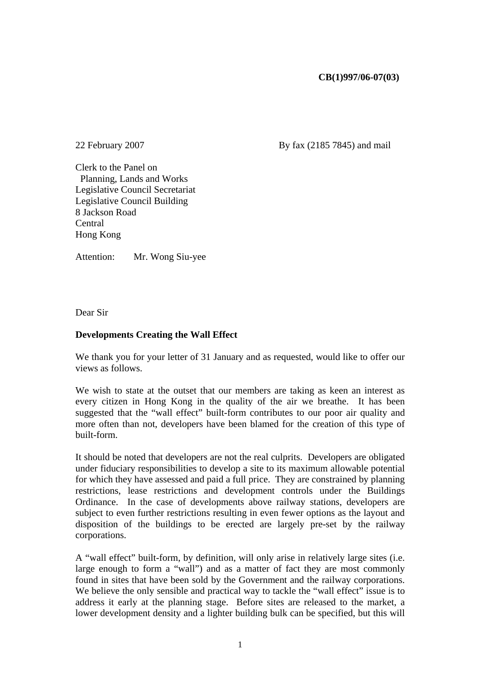## **CB(1)997/06-07(03)**

22 February 2007 By fax (2185 7845) and mail

Clerk to the Panel on Planning, Lands and Works Legislative Council Secretariat Legislative Council Building 8 Jackson Road Central Hong Kong

Attention: Mr. Wong Siu-yee

Dear Sir

## **Developments Creating the Wall Effect**

We thank you for your letter of 31 January and as requested, would like to offer our views as follows.

We wish to state at the outset that our members are taking as keen an interest as every citizen in Hong Kong in the quality of the air we breathe. It has been suggested that the "wall effect" built-form contributes to our poor air quality and more often than not, developers have been blamed for the creation of this type of built-form.

It should be noted that developers are not the real culprits. Developers are obligated under fiduciary responsibilities to develop a site to its maximum allowable potential for which they have assessed and paid a full price. They are constrained by planning restrictions, lease restrictions and development controls under the Buildings Ordinance. In the case of developments above railway stations, developers are subject to even further restrictions resulting in even fewer options as the layout and disposition of the buildings to be erected are largely pre-set by the railway corporations.

A "wall effect" built-form, by definition, will only arise in relatively large sites (i.e. large enough to form a "wall") and as a matter of fact they are most commonly found in sites that have been sold by the Government and the railway corporations. We believe the only sensible and practical way to tackle the "wall effect" issue is to address it early at the planning stage. Before sites are released to the market, a lower development density and a lighter building bulk can be specified, but this will